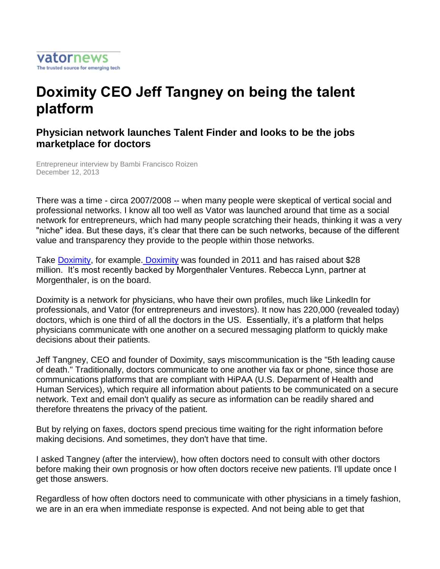

## **Doximity CEO Jeff Tangney on being the talent platform**

## **Physician network launches Talent Finder and looks to be the jobs marketplace for doctors**

Entrepreneur interview by Bambi Francisco Roizen December 12, 2013

There was a time - circa 2007/2008 -- when many people were skeptical of vertical social and professional networks. I know all too well as Vator was launched around that time as a social network for entrepreneurs, which had many people scratching their heads, thinking it was a very "niche" idea. But these days, it's clear that there can be such networks, because of the different value and transparency they provide to the people within those networks.

Take Doximity, for example. Doximity was founded in 2011 and has raised about \$28 million. It's most recently backed by Morgenthaler Ventures. Rebecca Lynn, partner at Morgenthaler, is on the board.

Doximity is a network for physicians, who have their own profiles, much like LinkedIn for professionals, and Vator (for entrepreneurs and investors). It now has 220,000 (revealed today) doctors, which is one third of all the doctors in the US. Essentially, it's a platform that helps physicians communicate with one another on a secured messaging platform to quickly make decisions about their patients.

Jeff Tangney, CEO and founder of Doximity, says miscommunication is the "5th leading cause of death." Traditionally, doctors communicate to one another via fax or phone, since those are communications platforms that are compliant with HiPAA (U.S. Deparment of Health and Human Services), which require all information about patients to be communicated on a secure network. Text and email don't qualify as secure as information can be readily shared and therefore threatens the privacy of the patient.

But by relying on faxes, doctors spend precious time waiting for the right information before making decisions. And sometimes, they don't have that time.

I asked Tangney (after the interview), how often doctors need to consult with other doctors before making their own prognosis or how often doctors receive new patients. I'll update once I get those answers.

Regardless of how often doctors need to communicate with other physicians in a timely fashion, we are in an era when immediate response is expected. And not being able to get that